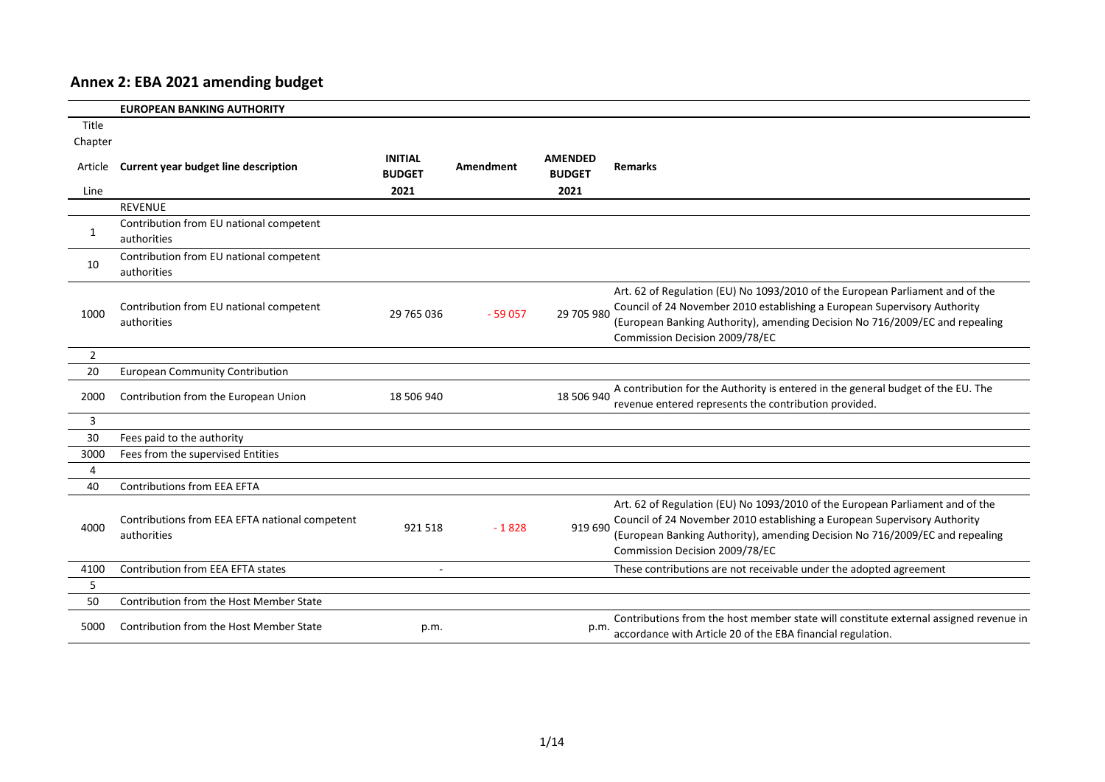## **Annex 2: EBA 2021 amending budget**

|                | <b>EUROPEAN BANKING AUTHORITY</b>                             |                                 |           |                                 |                                                                                                                                                                                                                                                                              |
|----------------|---------------------------------------------------------------|---------------------------------|-----------|---------------------------------|------------------------------------------------------------------------------------------------------------------------------------------------------------------------------------------------------------------------------------------------------------------------------|
| Title          |                                                               |                                 |           |                                 |                                                                                                                                                                                                                                                                              |
| Chapter        |                                                               |                                 |           |                                 |                                                                                                                                                                                                                                                                              |
| Article        | Current year budget line description                          | <b>INITIAL</b><br><b>BUDGET</b> | Amendment | <b>AMENDED</b><br><b>BUDGET</b> | <b>Remarks</b>                                                                                                                                                                                                                                                               |
| Line           |                                                               | 2021                            |           | 2021                            |                                                                                                                                                                                                                                                                              |
|                | <b>REVENUE</b>                                                |                                 |           |                                 |                                                                                                                                                                                                                                                                              |
| 1              | Contribution from EU national competent<br>authorities        |                                 |           |                                 |                                                                                                                                                                                                                                                                              |
| 10             | Contribution from EU national competent<br>authorities        |                                 |           |                                 |                                                                                                                                                                                                                                                                              |
| 1000           | Contribution from EU national competent<br>authorities        | 29 765 036                      | $-59057$  | 29 705 980                      | Art. 62 of Regulation (EU) No 1093/2010 of the European Parliament and of the<br>Council of 24 November 2010 establishing a European Supervisory Authority<br>(European Banking Authority), amending Decision No 716/2009/EC and repealing<br>Commission Decision 2009/78/EC |
| $\overline{2}$ |                                                               |                                 |           |                                 |                                                                                                                                                                                                                                                                              |
| 20             | <b>European Community Contribution</b>                        |                                 |           |                                 |                                                                                                                                                                                                                                                                              |
| 2000           | Contribution from the European Union                          | 18 506 940                      |           | 18 506 940                      | A contribution for the Authority is entered in the general budget of the EU. The<br>revenue entered represents the contribution provided.                                                                                                                                    |
| 3              |                                                               |                                 |           |                                 |                                                                                                                                                                                                                                                                              |
| 30             | Fees paid to the authority                                    |                                 |           |                                 |                                                                                                                                                                                                                                                                              |
| 3000           | Fees from the supervised Entities                             |                                 |           |                                 |                                                                                                                                                                                                                                                                              |
| 4              |                                                               |                                 |           |                                 |                                                                                                                                                                                                                                                                              |
| 40             | <b>Contributions from EEA EFTA</b>                            |                                 |           |                                 |                                                                                                                                                                                                                                                                              |
| 4000           | Contributions from EEA EFTA national competent<br>authorities | 921518                          | $-1828$   | 919 690                         | Art. 62 of Regulation (EU) No 1093/2010 of the European Parliament and of the<br>Council of 24 November 2010 establishing a European Supervisory Authority<br>(European Banking Authority), amending Decision No 716/2009/EC and repealing<br>Commission Decision 2009/78/EC |
| 4100           | Contribution from EEA EFTA states                             |                                 |           |                                 | These contributions are not receivable under the adopted agreement                                                                                                                                                                                                           |
| 5              |                                                               |                                 |           |                                 |                                                                                                                                                                                                                                                                              |
| 50             | Contribution from the Host Member State                       |                                 |           |                                 |                                                                                                                                                                                                                                                                              |
| 5000           | Contribution from the Host Member State                       | p.m.                            |           | p.m.                            | Contributions from the host member state will constitute external assigned revenue in<br>accordance with Article 20 of the EBA financial regulation.                                                                                                                         |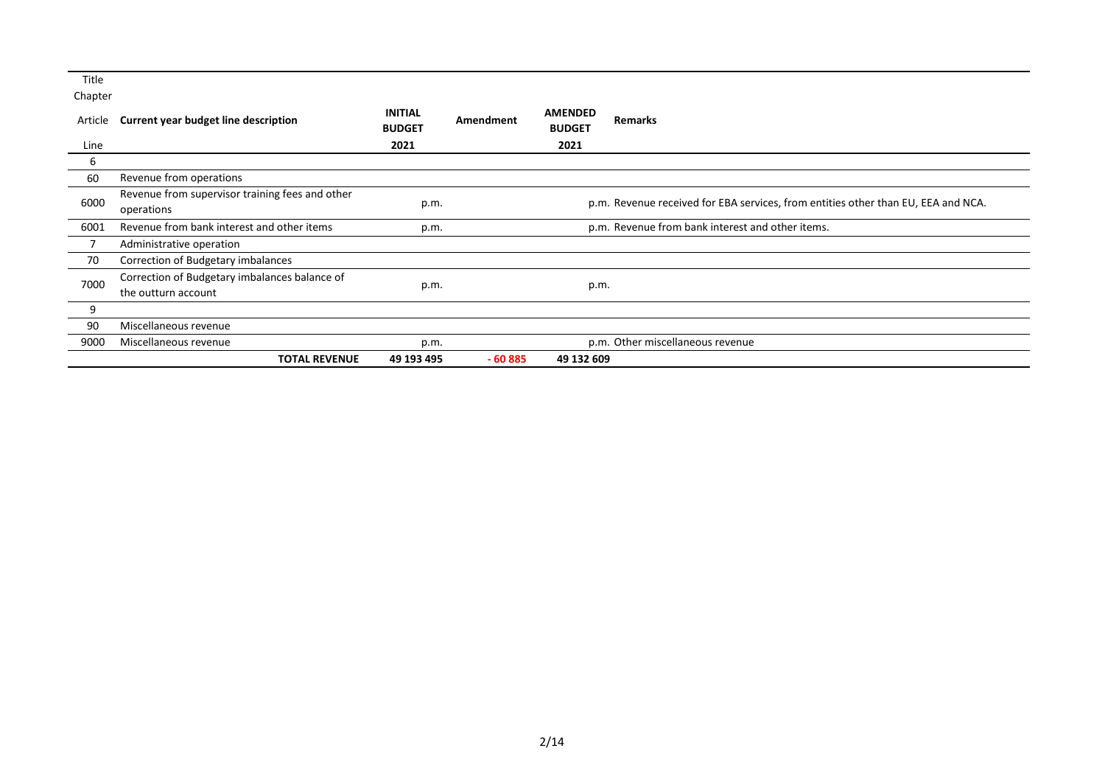| Title   |                                                 |                                 |           |                                                                                   |                                                  |  |  |
|---------|-------------------------------------------------|---------------------------------|-----------|-----------------------------------------------------------------------------------|--------------------------------------------------|--|--|
| Chapter |                                                 |                                 |           |                                                                                   |                                                  |  |  |
| Article | Current year budget line description            | <b>INITIAL</b><br><b>BUDGET</b> | Amendment | <b>AMENDED</b><br><b>BUDGET</b>                                                   | <b>Remarks</b>                                   |  |  |
| Line    |                                                 | 2021                            |           | 2021                                                                              |                                                  |  |  |
| b       |                                                 |                                 |           |                                                                                   |                                                  |  |  |
| 60      | Revenue from operations                         |                                 |           |                                                                                   |                                                  |  |  |
|         | Revenue from supervisor training fees and other |                                 |           |                                                                                   |                                                  |  |  |
| 6000    | operations                                      | p.m.                            |           | p.m. Revenue received for EBA services, from entities other than EU, EEA and NCA. |                                                  |  |  |
| 6001    | Revenue from bank interest and other items      | p.m.                            |           |                                                                                   | p.m. Revenue from bank interest and other items. |  |  |
|         | Administrative operation                        |                                 |           |                                                                                   |                                                  |  |  |
| 70      | Correction of Budgetary imbalances              |                                 |           |                                                                                   |                                                  |  |  |
|         | Correction of Budgetary imbalances balance of   |                                 |           |                                                                                   |                                                  |  |  |
| 7000    | the outturn account                             | p.m.                            |           | p.m.                                                                              |                                                  |  |  |
| 9       |                                                 |                                 |           |                                                                                   |                                                  |  |  |
| 90      | Miscellaneous revenue                           |                                 |           |                                                                                   |                                                  |  |  |
| 9000    | Miscellaneous revenue                           | p.m.                            |           |                                                                                   | p.m. Other miscellaneous revenue                 |  |  |
|         | <b>TOTAL REVENUE</b>                            | 49 193 495                      | $-60885$  | 49 132 609                                                                        |                                                  |  |  |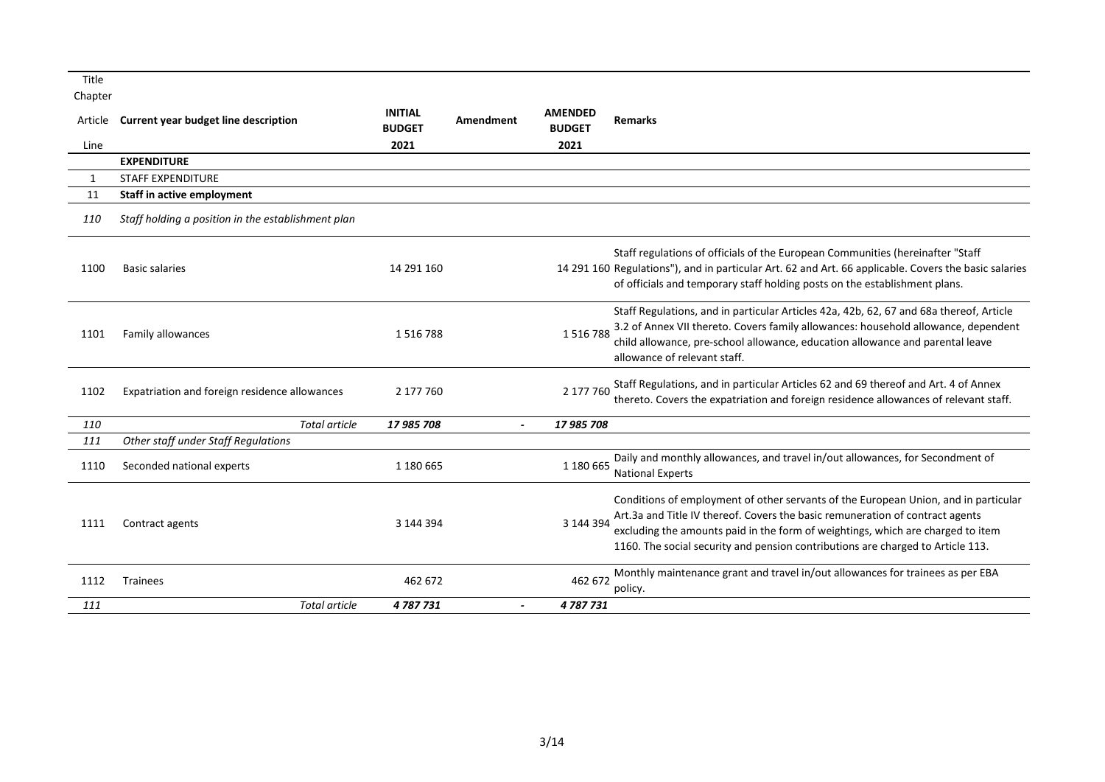| Title        |                                                    |                                 |           |                                 |                                                                                                                                                                                                                                                                                                                                            |
|--------------|----------------------------------------------------|---------------------------------|-----------|---------------------------------|--------------------------------------------------------------------------------------------------------------------------------------------------------------------------------------------------------------------------------------------------------------------------------------------------------------------------------------------|
| Chapter      |                                                    |                                 |           |                                 |                                                                                                                                                                                                                                                                                                                                            |
| Article      | <b>Current year budget line description</b>        | <b>INITIAL</b><br><b>BUDGET</b> | Amendment | <b>AMENDED</b><br><b>BUDGET</b> | <b>Remarks</b>                                                                                                                                                                                                                                                                                                                             |
| Line         |                                                    | 2021                            |           | 2021                            |                                                                                                                                                                                                                                                                                                                                            |
|              | <b>EXPENDITURE</b>                                 |                                 |           |                                 |                                                                                                                                                                                                                                                                                                                                            |
| $\mathbf{1}$ | <b>STAFF EXPENDITURE</b>                           |                                 |           |                                 |                                                                                                                                                                                                                                                                                                                                            |
| 11           | Staff in active employment                         |                                 |           |                                 |                                                                                                                                                                                                                                                                                                                                            |
| 110          | Staff holding a position in the establishment plan |                                 |           |                                 |                                                                                                                                                                                                                                                                                                                                            |
| 1100         | <b>Basic salaries</b>                              | 14 291 160                      |           |                                 | Staff regulations of officials of the European Communities (hereinafter "Staff<br>14 291 160 Regulations"), and in particular Art. 62 and Art. 66 applicable. Covers the basic salaries<br>of officials and temporary staff holding posts on the establishment plans.                                                                      |
| 1101         | Family allowances                                  | 1516788                         |           | 1516788                         | Staff Regulations, and in particular Articles 42a, 42b, 62, 67 and 68a thereof, Article<br>3.2 of Annex VII thereto. Covers family allowances: household allowance, dependent<br>child allowance, pre-school allowance, education allowance and parental leave<br>allowance of relevant staff.                                             |
| 1102         | Expatriation and foreign residence allowances      | 2 177 760                       |           | 2 177 760                       | Staff Regulations, and in particular Articles 62 and 69 thereof and Art. 4 of Annex<br>thereto. Covers the expatriation and foreign residence allowances of relevant staff.                                                                                                                                                                |
| 110          | <b>Total article</b>                               | 17 985 708                      |           | 17 985 708                      |                                                                                                                                                                                                                                                                                                                                            |
| 111          | Other staff under Staff Regulations                |                                 |           |                                 |                                                                                                                                                                                                                                                                                                                                            |
| 1110         | Seconded national experts                          | 1 180 665                       |           | 1 180 665                       | Daily and monthly allowances, and travel in/out allowances, for Secondment of<br><b>National Experts</b>                                                                                                                                                                                                                                   |
| 1111         | Contract agents                                    | 3 144 394                       |           | 3 144 394                       | Conditions of employment of other servants of the European Union, and in particular<br>Art.3a and Title IV thereof. Covers the basic remuneration of contract agents<br>excluding the amounts paid in the form of weightings, which are charged to item<br>1160. The social security and pension contributions are charged to Article 113. |
| 1112         | <b>Trainees</b>                                    | 462 672                         |           | 462 672                         | Monthly maintenance grant and travel in/out allowances for trainees as per EBA<br>policy.                                                                                                                                                                                                                                                  |
| 111          | <b>Total article</b>                               | 4787731                         |           | 4787731                         |                                                                                                                                                                                                                                                                                                                                            |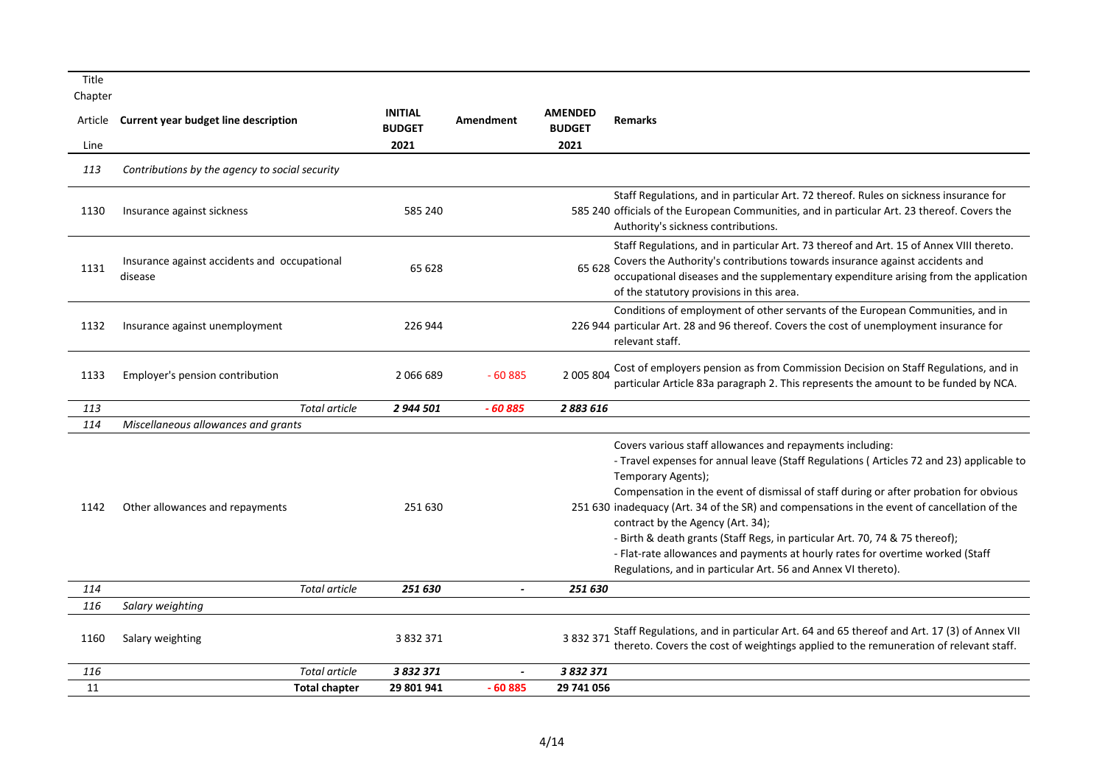| Title                      |                                                         |                                         |                |                                         |                                                                                                                                                                                                                                                                                                                                                                                                                                                                                                                                                                                                                                              |
|----------------------------|---------------------------------------------------------|-----------------------------------------|----------------|-----------------------------------------|----------------------------------------------------------------------------------------------------------------------------------------------------------------------------------------------------------------------------------------------------------------------------------------------------------------------------------------------------------------------------------------------------------------------------------------------------------------------------------------------------------------------------------------------------------------------------------------------------------------------------------------------|
| Chapter<br>Article<br>Line | Current year budget line description                    | <b>INITIAL</b><br><b>BUDGET</b><br>2021 | Amendment      | <b>AMENDED</b><br><b>BUDGET</b><br>2021 | <b>Remarks</b>                                                                                                                                                                                                                                                                                                                                                                                                                                                                                                                                                                                                                               |
| 113                        | Contributions by the agency to social security          |                                         |                |                                         |                                                                                                                                                                                                                                                                                                                                                                                                                                                                                                                                                                                                                                              |
| 1130                       | Insurance against sickness                              | 585 240                                 |                |                                         | Staff Regulations, and in particular Art. 72 thereof. Rules on sickness insurance for<br>585 240 officials of the European Communities, and in particular Art. 23 thereof. Covers the<br>Authority's sickness contributions.                                                                                                                                                                                                                                                                                                                                                                                                                 |
| 1131                       | Insurance against accidents and occupational<br>disease | 65 628                                  |                | 65 628                                  | Staff Regulations, and in particular Art. 73 thereof and Art. 15 of Annex VIII thereto.<br>Covers the Authority's contributions towards insurance against accidents and<br>occupational diseases and the supplementary expenditure arising from the application<br>of the statutory provisions in this area.                                                                                                                                                                                                                                                                                                                                 |
| 1132                       | Insurance against unemployment                          | 226 944                                 |                |                                         | Conditions of employment of other servants of the European Communities, and in<br>226 944 particular Art. 28 and 96 thereof. Covers the cost of unemployment insurance for<br>relevant staff.                                                                                                                                                                                                                                                                                                                                                                                                                                                |
| 1133                       | Employer's pension contribution                         | 2066689                                 | $-60885$       | 2 005 804                               | Cost of employers pension as from Commission Decision on Staff Regulations, and in<br>particular Article 83a paragraph 2. This represents the amount to be funded by NCA.                                                                                                                                                                                                                                                                                                                                                                                                                                                                    |
| 113                        | <b>Total article</b>                                    | 2 944 501                               | $-60885$       | 2883616                                 |                                                                                                                                                                                                                                                                                                                                                                                                                                                                                                                                                                                                                                              |
| 114                        | Miscellaneous allowances and grants                     |                                         |                |                                         |                                                                                                                                                                                                                                                                                                                                                                                                                                                                                                                                                                                                                                              |
| 1142                       | Other allowances and repayments                         | 251 630                                 |                |                                         | Covers various staff allowances and repayments including:<br>- Travel expenses for annual leave (Staff Regulations (Articles 72 and 23) applicable to<br>Temporary Agents);<br>Compensation in the event of dismissal of staff during or after probation for obvious<br>251 630 inadequacy (Art. 34 of the SR) and compensations in the event of cancellation of the<br>contract by the Agency (Art. 34);<br>- Birth & death grants (Staff Regs, in particular Art. 70, 74 & 75 thereof);<br>- Flat-rate allowances and payments at hourly rates for overtime worked (Staff<br>Regulations, and in particular Art. 56 and Annex VI thereto). |
| 114                        | <b>Total article</b>                                    | 251 630                                 | $\overline{a}$ | 251 630                                 |                                                                                                                                                                                                                                                                                                                                                                                                                                                                                                                                                                                                                                              |
| 116                        | Salary weighting                                        |                                         |                |                                         |                                                                                                                                                                                                                                                                                                                                                                                                                                                                                                                                                                                                                                              |
| 1160                       | Salary weighting                                        | 3 832 371                               |                | 3 8 3 2 3 7 1                           | Staff Regulations, and in particular Art. 64 and 65 thereof and Art. 17 (3) of Annex VII<br>thereto. Covers the cost of weightings applied to the remuneration of relevant staff.                                                                                                                                                                                                                                                                                                                                                                                                                                                            |
| 116                        | <b>Total article</b>                                    | 3 832 371                               |                | 3 832 371                               |                                                                                                                                                                                                                                                                                                                                                                                                                                                                                                                                                                                                                                              |
| 11                         | <b>Total chapter</b>                                    | 29 801 941                              | $-60885$       | 29 741 056                              |                                                                                                                                                                                                                                                                                                                                                                                                                                                                                                                                                                                                                                              |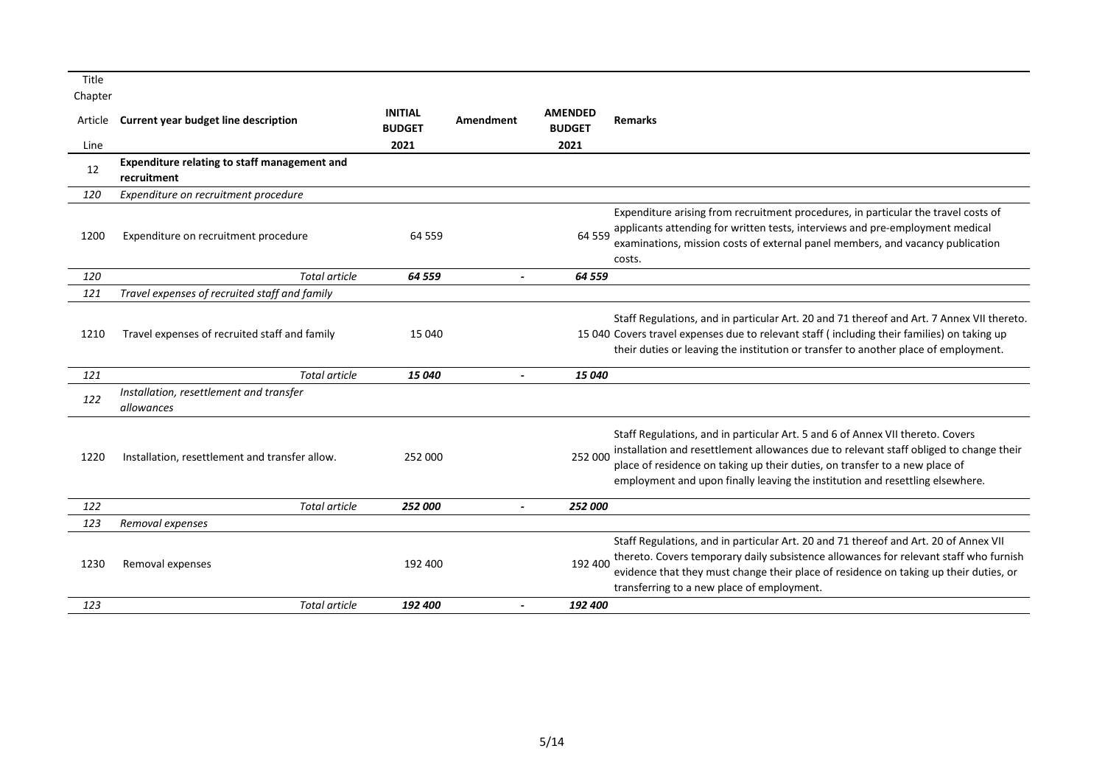| Title   |                                                             |                                 |                       |                                 |                                                                                                                                                                                                                                                                                                                                          |
|---------|-------------------------------------------------------------|---------------------------------|-----------------------|---------------------------------|------------------------------------------------------------------------------------------------------------------------------------------------------------------------------------------------------------------------------------------------------------------------------------------------------------------------------------------|
| Chapter |                                                             |                                 |                       |                                 |                                                                                                                                                                                                                                                                                                                                          |
| Article | <b>Current year budget line description</b>                 | <b>INITIAL</b><br><b>BUDGET</b> | <b>Amendment</b>      | <b>AMENDED</b><br><b>BUDGET</b> | <b>Remarks</b>                                                                                                                                                                                                                                                                                                                           |
| Line    |                                                             | 2021                            |                       | 2021                            |                                                                                                                                                                                                                                                                                                                                          |
| 12      | Expenditure relating to staff management and<br>recruitment |                                 |                       |                                 |                                                                                                                                                                                                                                                                                                                                          |
| 120     | Expenditure on recruitment procedure                        |                                 |                       |                                 |                                                                                                                                                                                                                                                                                                                                          |
| 1200    | Expenditure on recruitment procedure                        | 64 5 5 9                        |                       | 64 5 5 9                        | Expenditure arising from recruitment procedures, in particular the travel costs of<br>applicants attending for written tests, interviews and pre-employment medical<br>examinations, mission costs of external panel members, and vacancy publication<br>costs.                                                                          |
| 120     | Total article                                               | 64 559                          |                       | 64 559                          |                                                                                                                                                                                                                                                                                                                                          |
| 121     | Travel expenses of recruited staff and family               |                                 |                       |                                 |                                                                                                                                                                                                                                                                                                                                          |
| 1210    | Travel expenses of recruited staff and family               | 15 040                          |                       |                                 | Staff Regulations, and in particular Art. 20 and 71 thereof and Art. 7 Annex VII thereto.<br>15 040 Covers travel expenses due to relevant staff (including their families) on taking up<br>their duties or leaving the institution or transfer to another place of employment.                                                          |
| 121     | <b>Total article</b>                                        | 15 040                          |                       | 15 040                          |                                                                                                                                                                                                                                                                                                                                          |
| 122     | Installation, resettlement and transfer<br>allowances       |                                 |                       |                                 |                                                                                                                                                                                                                                                                                                                                          |
| 1220    | Installation, resettlement and transfer allow.              | 252 000                         |                       | 252 000                         | Staff Regulations, and in particular Art. 5 and 6 of Annex VII thereto. Covers<br>installation and resettlement allowances due to relevant staff obliged to change their<br>place of residence on taking up their duties, on transfer to a new place of<br>employment and upon finally leaving the institution and resettling elsewhere. |
| 122     | <b>Total article</b>                                        | 252 000                         |                       | 252 000                         |                                                                                                                                                                                                                                                                                                                                          |
| 123     | Removal expenses                                            |                                 |                       |                                 |                                                                                                                                                                                                                                                                                                                                          |
| 1230    | Removal expenses                                            | 192 400                         |                       | 192 400                         | Staff Regulations, and in particular Art. 20 and 71 thereof and Art. 20 of Annex VII<br>thereto. Covers temporary daily subsistence allowances for relevant staff who furnish<br>evidence that they must change their place of residence on taking up their duties, or<br>transferring to a new place of employment.                     |
| 123     | Total article                                               | 192 400                         | $\tilde{\phantom{a}}$ | 192 400                         |                                                                                                                                                                                                                                                                                                                                          |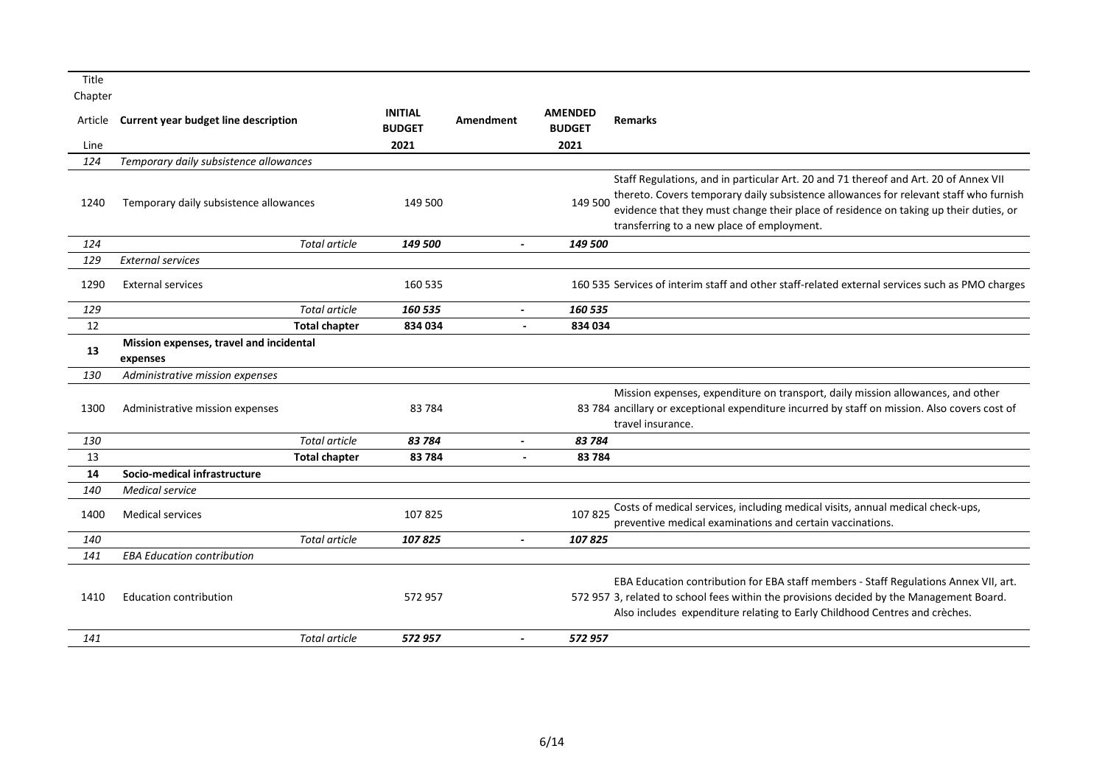| Article<br>Line | <b>Current year budget line description</b>         | <b>INITIAL</b><br><b>BUDGET</b><br>2021 | Amendment                    | <b>AMENDED</b><br><b>BUDGET</b><br>2021 | <b>Remarks</b>                                                                                                                                                                                                                                                                                                       |
|-----------------|-----------------------------------------------------|-----------------------------------------|------------------------------|-----------------------------------------|----------------------------------------------------------------------------------------------------------------------------------------------------------------------------------------------------------------------------------------------------------------------------------------------------------------------|
| 124             | Temporary daily subsistence allowances              |                                         |                              |                                         |                                                                                                                                                                                                                                                                                                                      |
| 1240            | Temporary daily subsistence allowances              | 149 500                                 |                              | 149 500                                 | Staff Regulations, and in particular Art. 20 and 71 thereof and Art. 20 of Annex VII<br>thereto. Covers temporary daily subsistence allowances for relevant staff who furnish<br>evidence that they must change their place of residence on taking up their duties, or<br>transferring to a new place of employment. |
| 124             | <b>Total article</b>                                | 149 500                                 | $\qquad \qquad \blacksquare$ | 149 500                                 |                                                                                                                                                                                                                                                                                                                      |
| 129             | <b>External services</b>                            |                                         |                              |                                         |                                                                                                                                                                                                                                                                                                                      |
| 1290            | <b>External services</b>                            | 160 535                                 |                              |                                         | 160 535 Services of interim staff and other staff-related external services such as PMO charges                                                                                                                                                                                                                      |
| 129             | <b>Total article</b>                                | 160 535                                 | $\overline{\phantom{a}}$     | 160 535                                 |                                                                                                                                                                                                                                                                                                                      |
| 12              | <b>Total chapter</b>                                | 834 034                                 | $\blacksquare$               | 834 034                                 |                                                                                                                                                                                                                                                                                                                      |
| 13              | Mission expenses, travel and incidental<br>expenses |                                         |                              |                                         |                                                                                                                                                                                                                                                                                                                      |
| 130             | Administrative mission expenses                     |                                         |                              |                                         |                                                                                                                                                                                                                                                                                                                      |
| 1300            | Administrative mission expenses                     | 83784                                   |                              |                                         | Mission expenses, expenditure on transport, daily mission allowances, and other<br>83 784 ancillary or exceptional expenditure incurred by staff on mission. Also covers cost of<br>travel insurance.                                                                                                                |
| 130             | <b>Total article</b>                                | 83 784                                  | $\overline{\phantom{a}}$     | 83 784                                  |                                                                                                                                                                                                                                                                                                                      |
| 13              | <b>Total chapter</b>                                | 83784                                   | ä,                           | 83784                                   |                                                                                                                                                                                                                                                                                                                      |
| 14              | Socio-medical infrastructure                        |                                         |                              |                                         |                                                                                                                                                                                                                                                                                                                      |
| 140             | <b>Medical service</b>                              |                                         |                              |                                         |                                                                                                                                                                                                                                                                                                                      |
| 1400            | <b>Medical services</b>                             | 107825                                  |                              | 107825                                  | Costs of medical services, including medical visits, annual medical check-ups,<br>preventive medical examinations and certain vaccinations.                                                                                                                                                                          |
| 140             | <b>Total article</b>                                | 107825                                  | $\overline{\phantom{0}}$     | 107825                                  |                                                                                                                                                                                                                                                                                                                      |
| 141             | <b>EBA Education contribution</b>                   |                                         |                              |                                         |                                                                                                                                                                                                                                                                                                                      |
| 1410            | <b>Education contribution</b>                       | 572957                                  |                              |                                         | EBA Education contribution for EBA staff members - Staff Regulations Annex VII, art.<br>572 957 3, related to school fees within the provisions decided by the Management Board.<br>Also includes expenditure relating to Early Childhood Centres and crèches.                                                       |
| 141             | <b>Total article</b>                                | 572 957                                 |                              | 572 957                                 |                                                                                                                                                                                                                                                                                                                      |
|                 |                                                     |                                         |                              |                                         |                                                                                                                                                                                                                                                                                                                      |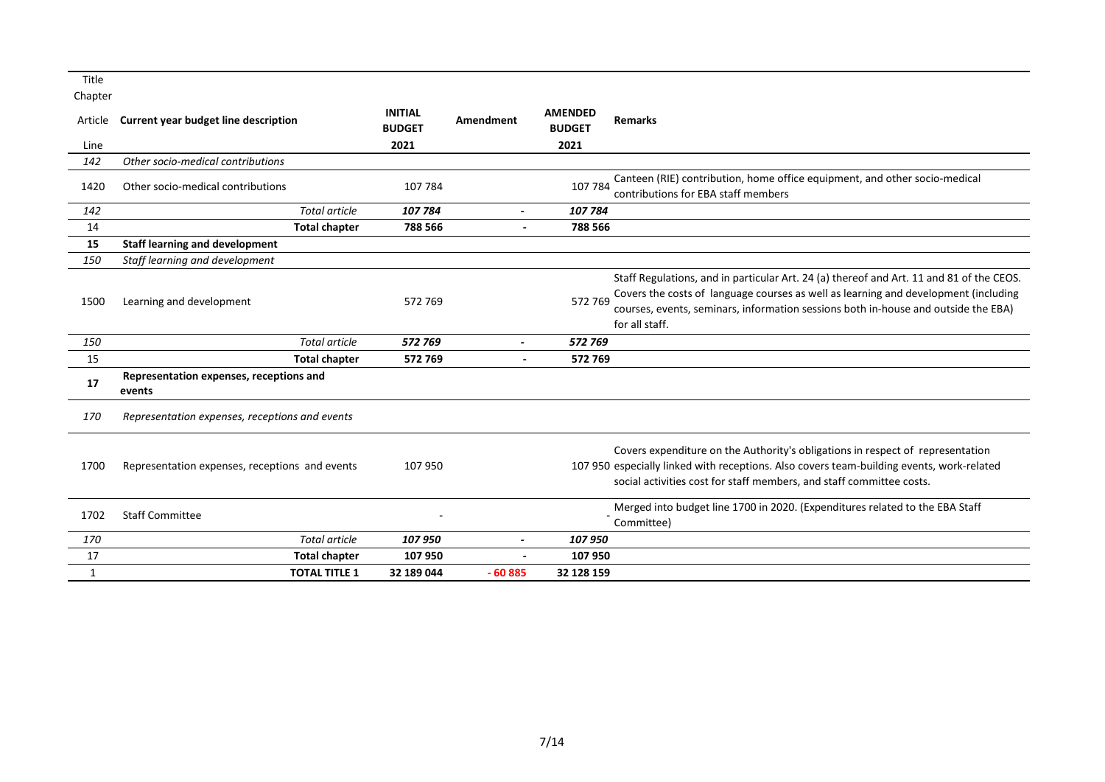| Article      | <b>Current year budget line description</b>       | <b>INITIAL</b><br><b>BUDGET</b> | Amendment                | <b>AMENDED</b><br><b>BUDGET</b> | <b>Remarks</b>                                                                                                                                                                                                                                                                          |
|--------------|---------------------------------------------------|---------------------------------|--------------------------|---------------------------------|-----------------------------------------------------------------------------------------------------------------------------------------------------------------------------------------------------------------------------------------------------------------------------------------|
| Line         |                                                   | 2021                            |                          | 2021                            |                                                                                                                                                                                                                                                                                         |
| 142          | Other socio-medical contributions                 |                                 |                          |                                 |                                                                                                                                                                                                                                                                                         |
| 1420         | Other socio-medical contributions                 | 107 784                         |                          | 107 784                         | Canteen (RIE) contribution, home office equipment, and other socio-medical<br>contributions for EBA staff members                                                                                                                                                                       |
| 142          | Total article                                     | 107 784                         | $\overline{\phantom{a}}$ | 107 784                         |                                                                                                                                                                                                                                                                                         |
| 14           | <b>Total chapter</b>                              | 788 566                         | $\blacksquare$           | 788 566                         |                                                                                                                                                                                                                                                                                         |
| 15           | <b>Staff learning and development</b>             |                                 |                          |                                 |                                                                                                                                                                                                                                                                                         |
| 150          | Staff learning and development                    |                                 |                          |                                 |                                                                                                                                                                                                                                                                                         |
| 1500         | Learning and development                          | 572 769                         |                          | 572 769                         | Staff Regulations, and in particular Art. 24 (a) thereof and Art. 11 and 81 of the CEOS.<br>Covers the costs of language courses as well as learning and development (including<br>courses, events, seminars, information sessions both in-house and outside the EBA)<br>for all staff. |
| 150          | <b>Total article</b>                              | 572 769                         |                          | 572 769                         |                                                                                                                                                                                                                                                                                         |
| 15           | <b>Total chapter</b>                              | 572769                          | $\overline{\phantom{a}}$ | 572 769                         |                                                                                                                                                                                                                                                                                         |
| 17           | Representation expenses, receptions and<br>events |                                 |                          |                                 |                                                                                                                                                                                                                                                                                         |
| 170          | Representation expenses, receptions and events    |                                 |                          |                                 |                                                                                                                                                                                                                                                                                         |
| 1700         | Representation expenses, receptions and events    | 107 950                         |                          |                                 | Covers expenditure on the Authority's obligations in respect of representation<br>107 950 especially linked with receptions. Also covers team-building events, work-related<br>social activities cost for staff members, and staff committee costs.                                     |
| 1702         | <b>Staff Committee</b>                            |                                 |                          |                                 | Merged into budget line 1700 in 2020. (Expenditures related to the EBA Staff<br>Committee)                                                                                                                                                                                              |
| 170          | Total article                                     | 107 950                         | $\overline{\phantom{a}}$ | 107 950                         |                                                                                                                                                                                                                                                                                         |
| 17           | <b>Total chapter</b>                              | 107950                          |                          | 107 950                         |                                                                                                                                                                                                                                                                                         |
| $\mathbf{1}$ | <b>TOTAL TITLE 1</b>                              | 32 189 044                      | $-60885$                 | 32 128 159                      |                                                                                                                                                                                                                                                                                         |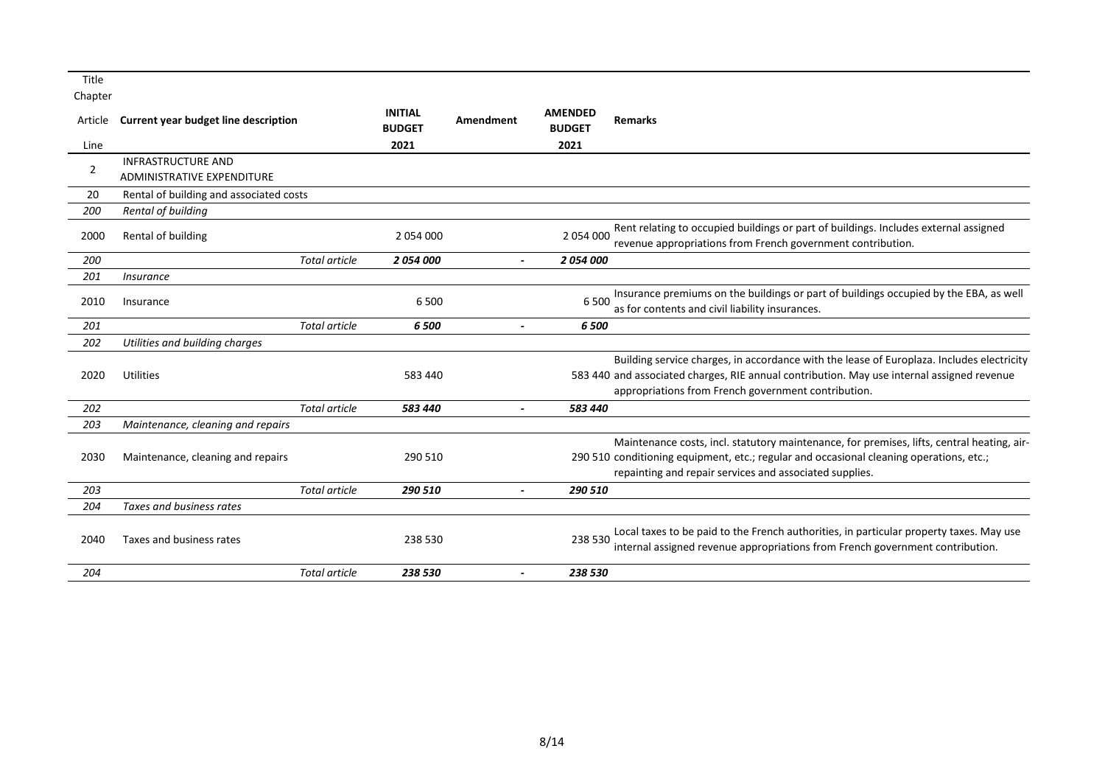| Title          |                                                         |                      |                                 |                          |                                 |                                                                                                                                                                                                                                                  |
|----------------|---------------------------------------------------------|----------------------|---------------------------------|--------------------------|---------------------------------|--------------------------------------------------------------------------------------------------------------------------------------------------------------------------------------------------------------------------------------------------|
| Chapter        |                                                         |                      |                                 |                          |                                 |                                                                                                                                                                                                                                                  |
| Article        | Current year budget line description                    |                      | <b>INITIAL</b><br><b>BUDGET</b> | Amendment                | <b>AMENDED</b><br><b>BUDGET</b> | <b>Remarks</b>                                                                                                                                                                                                                                   |
| Line           |                                                         |                      | 2021                            |                          | 2021                            |                                                                                                                                                                                                                                                  |
| $\overline{2}$ | <b>INFRASTRUCTURE AND</b><br>ADMINISTRATIVE EXPENDITURE |                      |                                 |                          |                                 |                                                                                                                                                                                                                                                  |
| 20             | Rental of building and associated costs                 |                      |                                 |                          |                                 |                                                                                                                                                                                                                                                  |
| 200            | Rental of building                                      |                      |                                 |                          |                                 |                                                                                                                                                                                                                                                  |
| 2000           | Rental of building                                      |                      | 2 054 000                       |                          | 2 054 000                       | Rent relating to occupied buildings or part of buildings. Includes external assigned<br>revenue appropriations from French government contribution.                                                                                              |
| 200            |                                                         | <b>Total article</b> | 2054000                         | $\overline{a}$           | 2054000                         |                                                                                                                                                                                                                                                  |
| 201            | <i><u><b>Insurance</b></u></i>                          |                      |                                 |                          |                                 |                                                                                                                                                                                                                                                  |
| 2010           | Insurance                                               |                      | 6500                            |                          | 6 500                           | Insurance premiums on the buildings or part of buildings occupied by the EBA, as well<br>as for contents and civil liability insurances.                                                                                                         |
| 201            |                                                         | Total article        | 6500                            |                          | 6 500                           |                                                                                                                                                                                                                                                  |
| 202            | Utilities and building charges                          |                      |                                 |                          |                                 |                                                                                                                                                                                                                                                  |
| 2020           | Utilities                                               |                      | 583 440                         |                          |                                 | Building service charges, in accordance with the lease of Europlaza. Includes electricity<br>583 440 and associated charges, RIE annual contribution. May use internal assigned revenue<br>appropriations from French government contribution.   |
| 202            |                                                         | <b>Total article</b> | 583 440                         |                          | 583 440                         |                                                                                                                                                                                                                                                  |
| 203            | Maintenance, cleaning and repairs                       |                      |                                 |                          |                                 |                                                                                                                                                                                                                                                  |
| 2030           | Maintenance, cleaning and repairs                       |                      | 290 510                         |                          |                                 | Maintenance costs, incl. statutory maintenance, for premises, lifts, central heating, air-<br>290 510 conditioning equipment, etc.; regular and occasional cleaning operations, etc.;<br>repainting and repair services and associated supplies. |
| 203            |                                                         | <b>Total article</b> | 290 510                         |                          | 290 510                         |                                                                                                                                                                                                                                                  |
| 204            | Taxes and business rates                                |                      |                                 |                          |                                 |                                                                                                                                                                                                                                                  |
| 2040           | Taxes and business rates                                |                      | 238 530                         |                          | 238 530                         | Local taxes to be paid to the French authorities, in particular property taxes. May use<br>internal assigned revenue appropriations from French government contribution.                                                                         |
| 204            |                                                         | <b>Total article</b> | 238 530                         | $\overline{\phantom{0}}$ | 238 530                         |                                                                                                                                                                                                                                                  |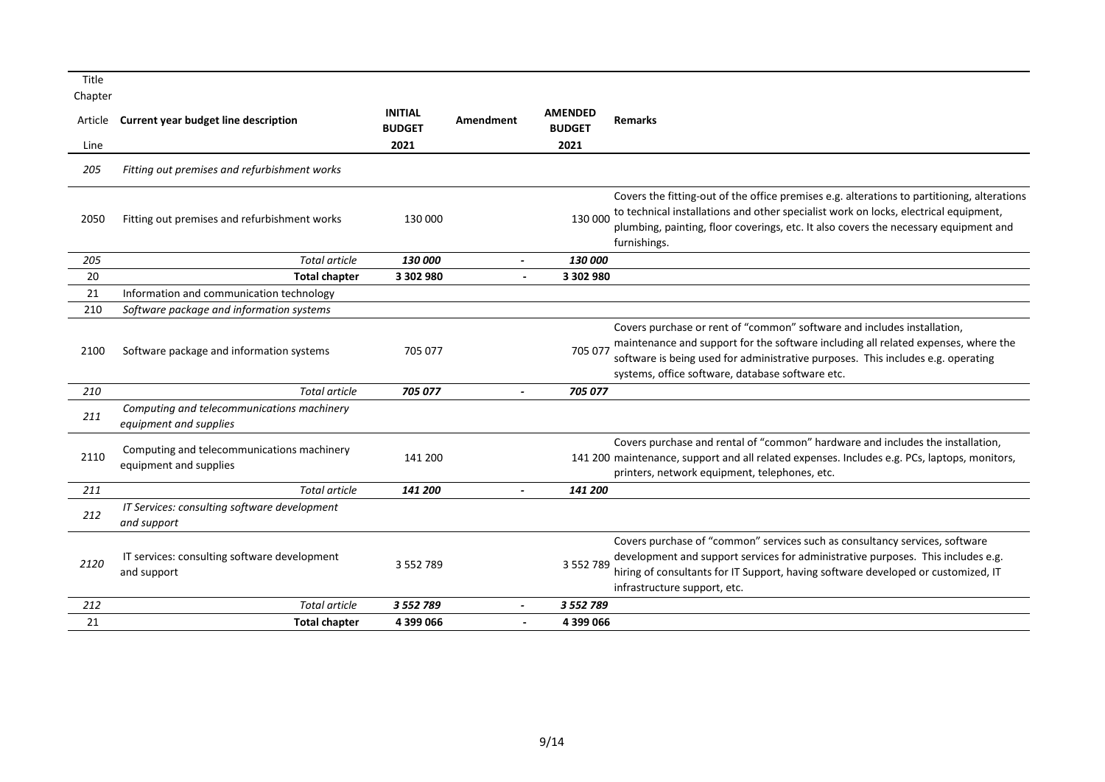| Title<br>Chapter |                                                                      |                                         |           |                                         |                                                                                                                                                                                                                                                                                                       |
|------------------|----------------------------------------------------------------------|-----------------------------------------|-----------|-----------------------------------------|-------------------------------------------------------------------------------------------------------------------------------------------------------------------------------------------------------------------------------------------------------------------------------------------------------|
| Article<br>Line  | <b>Current year budget line description</b>                          | <b>INITIAL</b><br><b>BUDGET</b><br>2021 | Amendment | <b>AMENDED</b><br><b>BUDGET</b><br>2021 | <b>Remarks</b>                                                                                                                                                                                                                                                                                        |
|                  |                                                                      |                                         |           |                                         |                                                                                                                                                                                                                                                                                                       |
| 205              | Fitting out premises and refurbishment works                         |                                         |           |                                         |                                                                                                                                                                                                                                                                                                       |
| 2050             | Fitting out premises and refurbishment works                         | 130 000                                 |           | 130 000                                 | Covers the fitting-out of the office premises e.g. alterations to partitioning, alterations<br>to technical installations and other specialist work on locks, electrical equipment,<br>plumbing, painting, floor coverings, etc. It also covers the necessary equipment and<br>furnishings.           |
| 205              | <b>Total article</b>                                                 | 130 000                                 |           | 130 000                                 |                                                                                                                                                                                                                                                                                                       |
| 20               | <b>Total chapter</b>                                                 | 3 302 980                               |           | 3 302 980                               |                                                                                                                                                                                                                                                                                                       |
| 21               | Information and communication technology                             |                                         |           |                                         |                                                                                                                                                                                                                                                                                                       |
| 210              | Software package and information systems                             |                                         |           |                                         |                                                                                                                                                                                                                                                                                                       |
| 2100             | Software package and information systems                             | 705 077                                 |           | 705 077                                 | Covers purchase or rent of "common" software and includes installation,<br>maintenance and support for the software including all related expenses, where the<br>software is being used for administrative purposes. This includes e.g. operating<br>systems, office software, database software etc. |
| 210              | <b>Total article</b>                                                 | 705 077                                 |           | 705 077                                 |                                                                                                                                                                                                                                                                                                       |
| 211              | Computing and telecommunications machinery<br>equipment and supplies |                                         |           |                                         |                                                                                                                                                                                                                                                                                                       |
| 2110             | Computing and telecommunications machinery<br>equipment and supplies | 141 200                                 |           |                                         | Covers purchase and rental of "common" hardware and includes the installation,<br>141 200 maintenance, support and all related expenses. Includes e.g. PCs, laptops, monitors,<br>printers, network equipment, telephones, etc.                                                                       |
| 211              | <b>Total article</b>                                                 | 141 200                                 |           | 141 200                                 |                                                                                                                                                                                                                                                                                                       |
| 212              | IT Services: consulting software development<br>and support          |                                         |           |                                         |                                                                                                                                                                                                                                                                                                       |
| 2120             | IT services: consulting software development<br>and support          | 3 5 5 2 7 8 9                           |           | 3 5 5 2 7 8 9                           | Covers purchase of "common" services such as consultancy services, software<br>development and support services for administrative purposes. This includes e.g.<br>hiring of consultants for IT Support, having software developed or customized, IT<br>infrastructure support, etc.                  |
| 212              | <b>Total article</b>                                                 | 3 5 5 2 7 8 9                           |           | 3 5 5 2 7 8 9                           |                                                                                                                                                                                                                                                                                                       |
| 21               | <b>Total chapter</b>                                                 | 4 399 066                               |           | 4 399 066                               |                                                                                                                                                                                                                                                                                                       |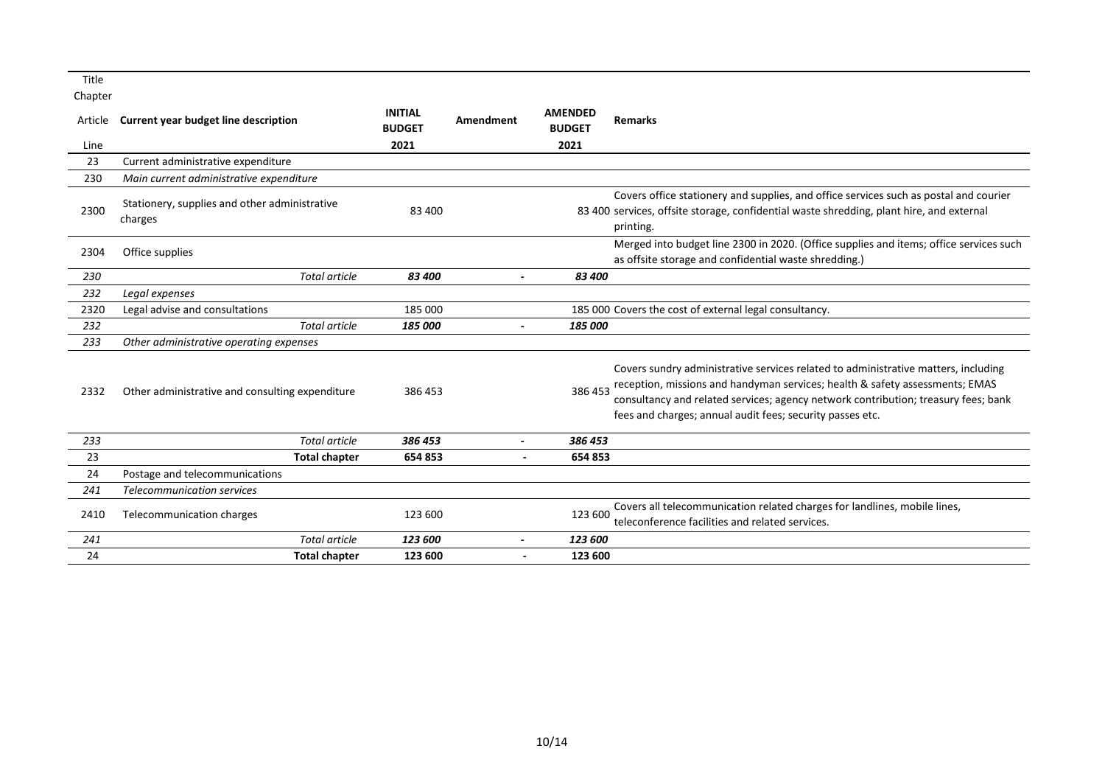| Title   |                                                          |                                 |                       |                                 |                                                                                                                                                                                                                                                                                                                       |
|---------|----------------------------------------------------------|---------------------------------|-----------------------|---------------------------------|-----------------------------------------------------------------------------------------------------------------------------------------------------------------------------------------------------------------------------------------------------------------------------------------------------------------------|
| Chapter |                                                          |                                 |                       |                                 |                                                                                                                                                                                                                                                                                                                       |
| Article | <b>Current year budget line description</b>              | <b>INITIAL</b><br><b>BUDGET</b> | Amendment             | <b>AMENDED</b><br><b>BUDGET</b> | <b>Remarks</b>                                                                                                                                                                                                                                                                                                        |
| Line    |                                                          | 2021                            |                       | 2021                            |                                                                                                                                                                                                                                                                                                                       |
| 23      | Current administrative expenditure                       |                                 |                       |                                 |                                                                                                                                                                                                                                                                                                                       |
| 230     | Main current administrative expenditure                  |                                 |                       |                                 |                                                                                                                                                                                                                                                                                                                       |
| 2300    | Stationery, supplies and other administrative<br>charges | 83 400                          |                       |                                 | Covers office stationery and supplies, and office services such as postal and courier<br>83 400 services, offsite storage, confidential waste shredding, plant hire, and external<br>printing.                                                                                                                        |
| 2304    | Office supplies                                          |                                 |                       |                                 | Merged into budget line 2300 in 2020. (Office supplies and items; office services such<br>as offsite storage and confidential waste shredding.)                                                                                                                                                                       |
| 230     | <b>Total article</b>                                     | 83 400                          |                       | 83 400                          |                                                                                                                                                                                                                                                                                                                       |
| 232     | Legal expenses                                           |                                 |                       |                                 |                                                                                                                                                                                                                                                                                                                       |
| 2320    | Legal advise and consultations                           | 185 000                         |                       |                                 | 185 000 Covers the cost of external legal consultancy.                                                                                                                                                                                                                                                                |
| 232     | <b>Total article</b>                                     | 185 000                         |                       | 185 000                         |                                                                                                                                                                                                                                                                                                                       |
| 233     | Other administrative operating expenses                  |                                 |                       |                                 |                                                                                                                                                                                                                                                                                                                       |
| 2332    | Other administrative and consulting expenditure          | 386453                          |                       | 386 453                         | Covers sundry administrative services related to administrative matters, including<br>reception, missions and handyman services; health & safety assessments; EMAS<br>consultancy and related services; agency network contribution; treasury fees; bank<br>fees and charges; annual audit fees; security passes etc. |
| 233     | <b>Total article</b>                                     | 386 453                         |                       | 386 453                         |                                                                                                                                                                                                                                                                                                                       |
| 23      | <b>Total chapter</b>                                     | 654 853                         | $\blacksquare$        | 654 853                         |                                                                                                                                                                                                                                                                                                                       |
| 24      | Postage and telecommunications                           |                                 |                       |                                 |                                                                                                                                                                                                                                                                                                                       |
| 241     | <b>Telecommunication services</b>                        |                                 |                       |                                 |                                                                                                                                                                                                                                                                                                                       |
| 2410    | Telecommunication charges                                | 123 600                         |                       | 123 600                         | Covers all telecommunication related charges for landlines, mobile lines,<br>teleconference facilities and related services.                                                                                                                                                                                          |
| 241     | Total article                                            | 123 600                         | $\tilde{\phantom{a}}$ | 123 600                         |                                                                                                                                                                                                                                                                                                                       |
| 24      | <b>Total chapter</b>                                     | 123 600                         | $\blacksquare$        | 123 600                         |                                                                                                                                                                                                                                                                                                                       |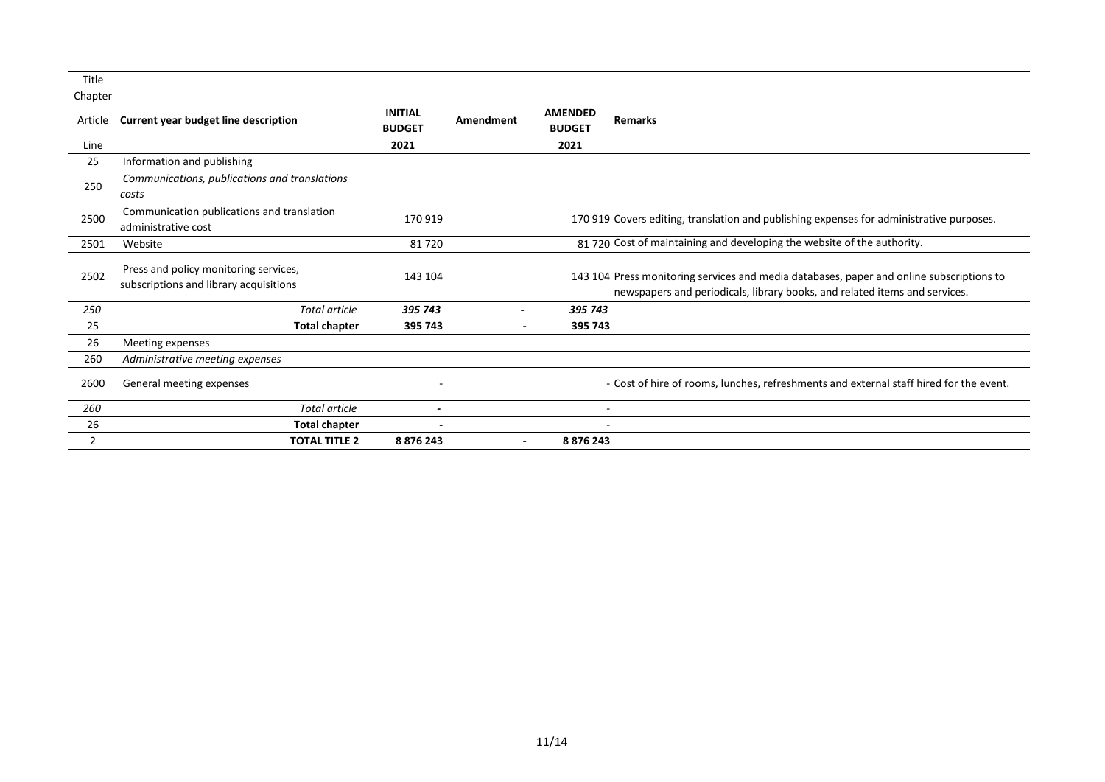| Article | Current year budget line description                                            | <b>INITIAL</b><br><b>BUDGET</b> | Amendment                | <b>AMENDED</b><br><b>BUDGET</b> | <b>Remarks</b>                                                                                                                                                         |
|---------|---------------------------------------------------------------------------------|---------------------------------|--------------------------|---------------------------------|------------------------------------------------------------------------------------------------------------------------------------------------------------------------|
| Line    |                                                                                 | 2021                            |                          | 2021                            |                                                                                                                                                                        |
| 25      | Information and publishing                                                      |                                 |                          |                                 |                                                                                                                                                                        |
| 250     | Communications, publications and translations<br>costs                          |                                 |                          |                                 |                                                                                                                                                                        |
| 2500    | Communication publications and translation<br>administrative cost               | 170 919                         |                          |                                 | 170 919 Covers editing, translation and publishing expenses for administrative purposes.                                                                               |
| 2501    | Website                                                                         | 81720                           |                          |                                 | 81720 Cost of maintaining and developing the website of the authority.                                                                                                 |
| 2502    | Press and policy monitoring services,<br>subscriptions and library acquisitions | 143 104                         |                          |                                 | 143 104 Press monitoring services and media databases, paper and online subscriptions to<br>newspapers and periodicals, library books, and related items and services. |
| 250     | Total article                                                                   | 395 743                         | ٠                        | 395 743                         |                                                                                                                                                                        |
| 25      | <b>Total chapter</b>                                                            | 395 743                         | $\overline{\phantom{a}}$ | 395 743                         |                                                                                                                                                                        |
| 26      | Meeting expenses                                                                |                                 |                          |                                 |                                                                                                                                                                        |
| 260     | Administrative meeting expenses                                                 |                                 |                          |                                 |                                                                                                                                                                        |
| 2600    | General meeting expenses                                                        | ۰                               |                          |                                 | - Cost of hire of rooms, lunches, refreshments and external staff hired for the event.                                                                                 |
| 260     | Total article                                                                   | ٠                               |                          |                                 | ٠                                                                                                                                                                      |
| 26      | <b>Total chapter</b>                                                            |                                 |                          |                                 |                                                                                                                                                                        |
| 2       | <b>TOTAL TITLE 2</b>                                                            | 8 876 243                       | $\overline{\phantom{a}}$ | 8 8 7 6 2 4 3                   |                                                                                                                                                                        |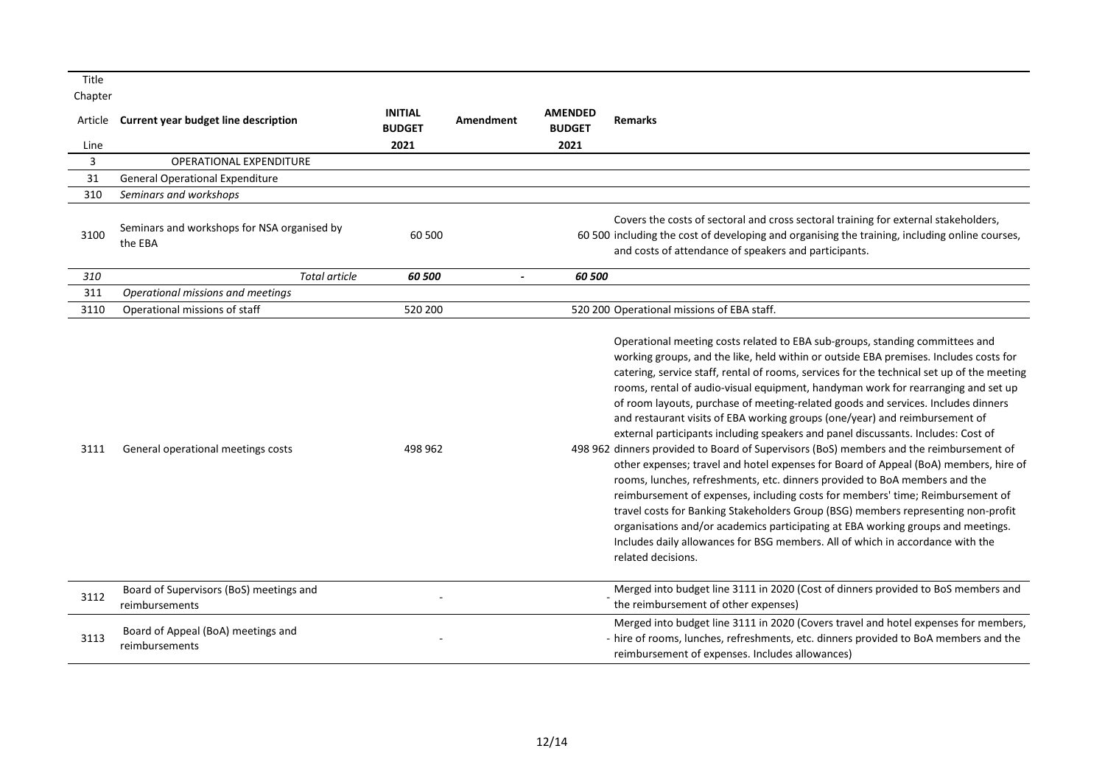| Title<br>Chapter |                                                           |                                 |                |                                 |                                                                                                                                                                                                                                                                                                                                                                                                                                                                                                                                                                                                                                                                                                                                                                                                                                                                                                                                                                                                                                                                                                                                                                                                                                                       |
|------------------|-----------------------------------------------------------|---------------------------------|----------------|---------------------------------|-------------------------------------------------------------------------------------------------------------------------------------------------------------------------------------------------------------------------------------------------------------------------------------------------------------------------------------------------------------------------------------------------------------------------------------------------------------------------------------------------------------------------------------------------------------------------------------------------------------------------------------------------------------------------------------------------------------------------------------------------------------------------------------------------------------------------------------------------------------------------------------------------------------------------------------------------------------------------------------------------------------------------------------------------------------------------------------------------------------------------------------------------------------------------------------------------------------------------------------------------------|
| Article          | Current year budget line description                      | <b>INITIAL</b><br><b>BUDGET</b> | Amendment      | <b>AMENDED</b><br><b>BUDGET</b> | <b>Remarks</b>                                                                                                                                                                                                                                                                                                                                                                                                                                                                                                                                                                                                                                                                                                                                                                                                                                                                                                                                                                                                                                                                                                                                                                                                                                        |
| Line             |                                                           | 2021                            |                | 2021                            |                                                                                                                                                                                                                                                                                                                                                                                                                                                                                                                                                                                                                                                                                                                                                                                                                                                                                                                                                                                                                                                                                                                                                                                                                                                       |
| 3                | <b>OPERATIONAL EXPENDITURE</b>                            |                                 |                |                                 |                                                                                                                                                                                                                                                                                                                                                                                                                                                                                                                                                                                                                                                                                                                                                                                                                                                                                                                                                                                                                                                                                                                                                                                                                                                       |
| 31               | <b>General Operational Expenditure</b>                    |                                 |                |                                 |                                                                                                                                                                                                                                                                                                                                                                                                                                                                                                                                                                                                                                                                                                                                                                                                                                                                                                                                                                                                                                                                                                                                                                                                                                                       |
| 310              | Seminars and workshops                                    |                                 |                |                                 |                                                                                                                                                                                                                                                                                                                                                                                                                                                                                                                                                                                                                                                                                                                                                                                                                                                                                                                                                                                                                                                                                                                                                                                                                                                       |
| 3100             | Seminars and workshops for NSA organised by<br>the EBA    | 60 500                          |                |                                 | Covers the costs of sectoral and cross sectoral training for external stakeholders,<br>60 500 including the cost of developing and organising the training, including online courses,<br>and costs of attendance of speakers and participants.                                                                                                                                                                                                                                                                                                                                                                                                                                                                                                                                                                                                                                                                                                                                                                                                                                                                                                                                                                                                        |
| 310              | <b>Total article</b>                                      | 60 500                          | $\overline{a}$ | 60 500                          |                                                                                                                                                                                                                                                                                                                                                                                                                                                                                                                                                                                                                                                                                                                                                                                                                                                                                                                                                                                                                                                                                                                                                                                                                                                       |
| 311              | Operational missions and meetings                         |                                 |                |                                 |                                                                                                                                                                                                                                                                                                                                                                                                                                                                                                                                                                                                                                                                                                                                                                                                                                                                                                                                                                                                                                                                                                                                                                                                                                                       |
| 3110             | Operational missions of staff                             | 520 200                         |                |                                 | 520 200 Operational missions of EBA staff.                                                                                                                                                                                                                                                                                                                                                                                                                                                                                                                                                                                                                                                                                                                                                                                                                                                                                                                                                                                                                                                                                                                                                                                                            |
| 3111             | General operational meetings costs                        | 498 962                         |                |                                 | Operational meeting costs related to EBA sub-groups, standing committees and<br>working groups, and the like, held within or outside EBA premises. Includes costs for<br>catering, service staff, rental of rooms, services for the technical set up of the meeting<br>rooms, rental of audio-visual equipment, handyman work for rearranging and set up<br>of room layouts, purchase of meeting-related goods and services. Includes dinners<br>and restaurant visits of EBA working groups (one/year) and reimbursement of<br>external participants including speakers and panel discussants. Includes: Cost of<br>498 962 dinners provided to Board of Supervisors (BoS) members and the reimbursement of<br>other expenses; travel and hotel expenses for Board of Appeal (BoA) members, hire of<br>rooms, lunches, refreshments, etc. dinners provided to BoA members and the<br>reimbursement of expenses, including costs for members' time; Reimbursement of<br>travel costs for Banking Stakeholders Group (BSG) members representing non-profit<br>organisations and/or academics participating at EBA working groups and meetings.<br>Includes daily allowances for BSG members. All of which in accordance with the<br>related decisions. |
| 3112             | Board of Supervisors (BoS) meetings and<br>reimbursements |                                 |                |                                 | Merged into budget line 3111 in 2020 (Cost of dinners provided to BoS members and<br>the reimbursement of other expenses)                                                                                                                                                                                                                                                                                                                                                                                                                                                                                                                                                                                                                                                                                                                                                                                                                                                                                                                                                                                                                                                                                                                             |
| 3113             | Board of Appeal (BoA) meetings and<br>reimbursements      |                                 |                |                                 | Merged into budget line 3111 in 2020 (Covers travel and hotel expenses for members,<br>- hire of rooms, lunches, refreshments, etc. dinners provided to BoA members and the<br>reimbursement of expenses. Includes allowances)                                                                                                                                                                                                                                                                                                                                                                                                                                                                                                                                                                                                                                                                                                                                                                                                                                                                                                                                                                                                                        |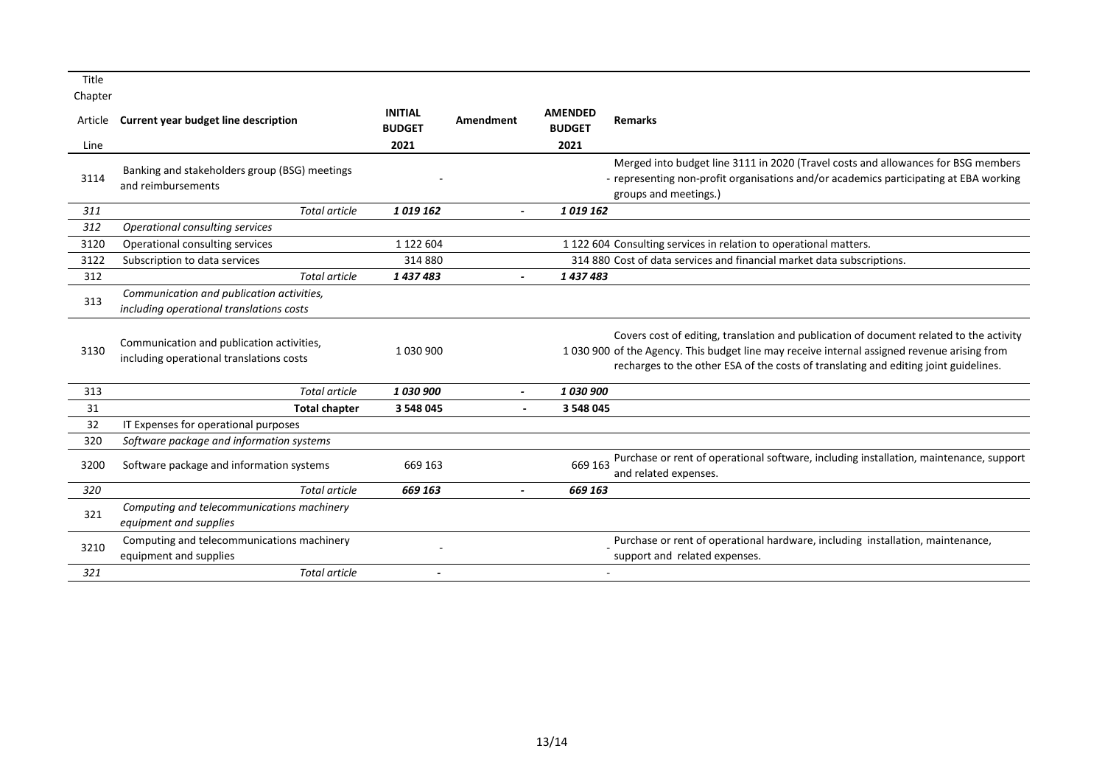| Article | Current year budget line description                                                  | <b>INITIAL</b><br><b>BUDGET</b> | Amendment                | <b>AMENDED</b><br><b>BUDGET</b> | <b>Remarks</b>                                                                                                                                                                                                                                                                  |
|---------|---------------------------------------------------------------------------------------|---------------------------------|--------------------------|---------------------------------|---------------------------------------------------------------------------------------------------------------------------------------------------------------------------------------------------------------------------------------------------------------------------------|
| Line    |                                                                                       | 2021                            |                          | 2021                            |                                                                                                                                                                                                                                                                                 |
| 3114    | Banking and stakeholders group (BSG) meetings<br>and reimbursements                   |                                 |                          |                                 | Merged into budget line 3111 in 2020 (Travel costs and allowances for BSG members<br>- representing non-profit organisations and/or academics participating at EBA working<br>groups and meetings.)                                                                             |
| 311     | <b>Total article</b>                                                                  | 1019162                         |                          | 1019162                         |                                                                                                                                                                                                                                                                                 |
| 312     | <b>Operational consulting services</b>                                                |                                 |                          |                                 |                                                                                                                                                                                                                                                                                 |
| 3120    | Operational consulting services                                                       | 1 122 604                       |                          |                                 | 1 122 604 Consulting services in relation to operational matters.                                                                                                                                                                                                               |
| 3122    | Subscription to data services                                                         | 314 880                         |                          |                                 | 314 880 Cost of data services and financial market data subscriptions.                                                                                                                                                                                                          |
| 312     | <b>Total article</b>                                                                  | 1437483                         |                          | 1437483                         |                                                                                                                                                                                                                                                                                 |
| 313     | Communication and publication activities,<br>including operational translations costs |                                 |                          |                                 |                                                                                                                                                                                                                                                                                 |
| 3130    | Communication and publication activities,<br>including operational translations costs | 1 030 900                       |                          |                                 | Covers cost of editing, translation and publication of document related to the activity<br>1 030 900 of the Agency. This budget line may receive internal assigned revenue arising from<br>recharges to the other ESA of the costs of translating and editing joint guidelines. |
| 313     | <b>Total article</b>                                                                  | 1030900                         | $\overline{\phantom{a}}$ | 1 030 900                       |                                                                                                                                                                                                                                                                                 |
| 31      | <b>Total chapter</b>                                                                  | 3 548 045                       |                          | 3 548 045                       |                                                                                                                                                                                                                                                                                 |
| 32      | IT Expenses for operational purposes                                                  |                                 |                          |                                 |                                                                                                                                                                                                                                                                                 |
| 320     | Software package and information systems                                              |                                 |                          |                                 |                                                                                                                                                                                                                                                                                 |
| 3200    | Software package and information systems                                              | 669 163                         |                          | 669 163                         | Purchase or rent of operational software, including installation, maintenance, support<br>and related expenses.                                                                                                                                                                 |
| 320     | <b>Total article</b>                                                                  | 669 163                         |                          | 669 163                         |                                                                                                                                                                                                                                                                                 |
| 321     | Computing and telecommunications machinery<br>equipment and supplies                  |                                 |                          |                                 |                                                                                                                                                                                                                                                                                 |
| 3210    | Computing and telecommunications machinery<br>equipment and supplies                  |                                 |                          |                                 | Purchase or rent of operational hardware, including installation, maintenance,<br>support and related expenses.                                                                                                                                                                 |
| 321     | Total article                                                                         |                                 |                          |                                 |                                                                                                                                                                                                                                                                                 |
|         |                                                                                       |                                 |                          |                                 |                                                                                                                                                                                                                                                                                 |